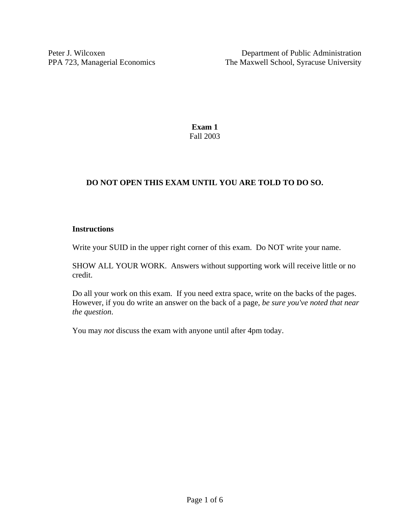**Exam 1**  Fall 2003

## **DO NOT OPEN THIS EXAM UNTIL YOU ARE TOLD TO DO SO.**

## **Instructions**

Write your SUID in the upper right corner of this exam. Do NOT write your name.

SHOW ALL YOUR WORK. Answers without supporting work will receive little or no credit.

Do all your work on this exam. If you need extra space, write on the backs of the pages. However, if you do write an answer on the back of a page, *be sure you've noted that near the question*.

You may *not* discuss the exam with anyone until after 4pm today.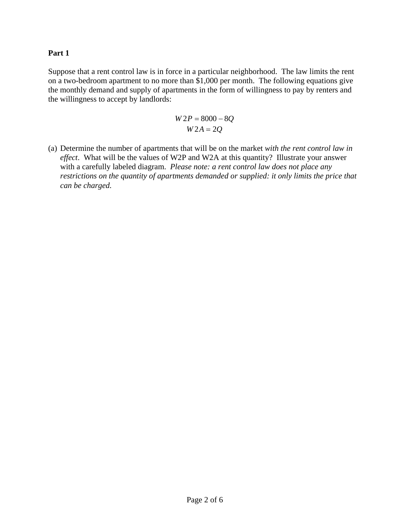## **Part 1**

Suppose that a rent control law is in force in a particular neighborhood. The law limits the rent on a two-bedroom apartment to no more than \$1,000 per month. The following equations give the monthly demand and supply of apartments in the form of willingness to pay by renters and the willingness to accept by landlords:

$$
W2P = 8000 - 8Q
$$
  

$$
W2A = 2Q
$$

(a) Determine the number of apartments that will be on the market *with the rent control law in effect*. What will be the values of W2P and W2A at this quantity? Illustrate your answer with a carefully labeled diagram. *Please note: a rent control law does not place any restrictions on the quantity of apartments demanded or supplied: it only limits the price that can be charged.*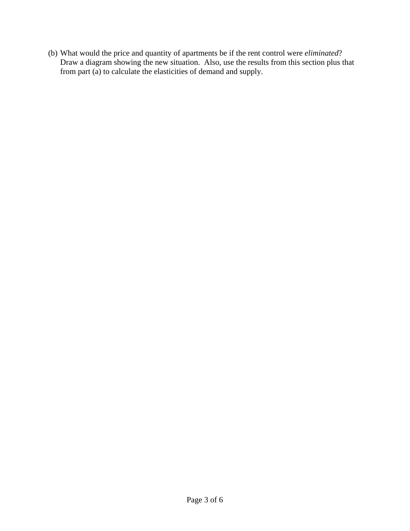(b) What would the price and quantity of apartments be if the rent control were *eliminated*? Draw a diagram showing the new situation. Also, use the results from this section plus that from part (a) to calculate the elasticities of demand and supply.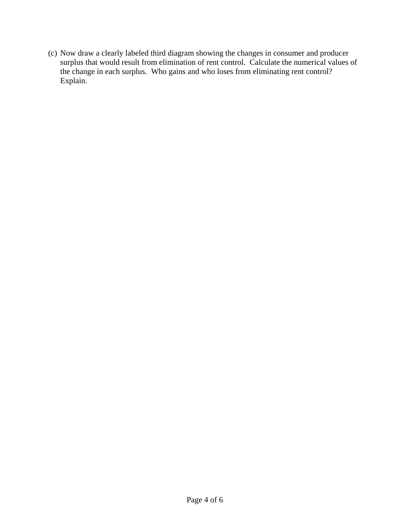(c) Now draw a clearly labeled third diagram showing the changes in consumer and producer surplus that would result from elimination of rent control. Calculate the numerical values of the change in each surplus. Who gains and who loses from eliminating rent control? Explain.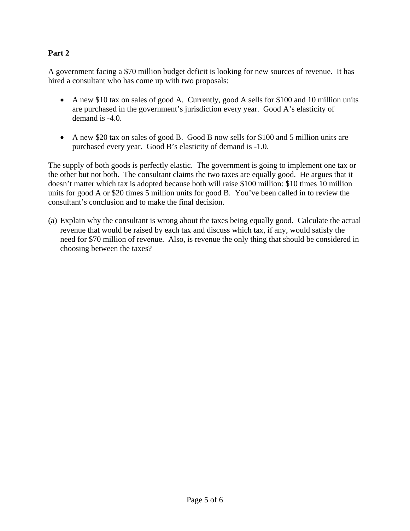## **Part 2**

A government facing a \$70 million budget deficit is looking for new sources of revenue. It has hired a consultant who has come up with two proposals:

- A new \$10 tax on sales of good A. Currently, good A sells for \$100 and 10 million units are purchased in the government's jurisdiction every year. Good A's elasticity of demand is -4.0.
- A new \$20 tax on sales of good B. Good B now sells for \$100 and 5 million units are purchased every year. Good B's elasticity of demand is -1.0.

The supply of both goods is perfectly elastic. The government is going to implement one tax or the other but not both. The consultant claims the two taxes are equally good. He argues that it doesn't matter which tax is adopted because both will raise \$100 million: \$10 times 10 million units for good A or \$20 times 5 million units for good B. You've been called in to review the consultant's conclusion and to make the final decision.

(a) Explain why the consultant is wrong about the taxes being equally good. Calculate the actual revenue that would be raised by each tax and discuss which tax, if any, would satisfy the need for \$70 million of revenue. Also, is revenue the only thing that should be considered in choosing between the taxes?